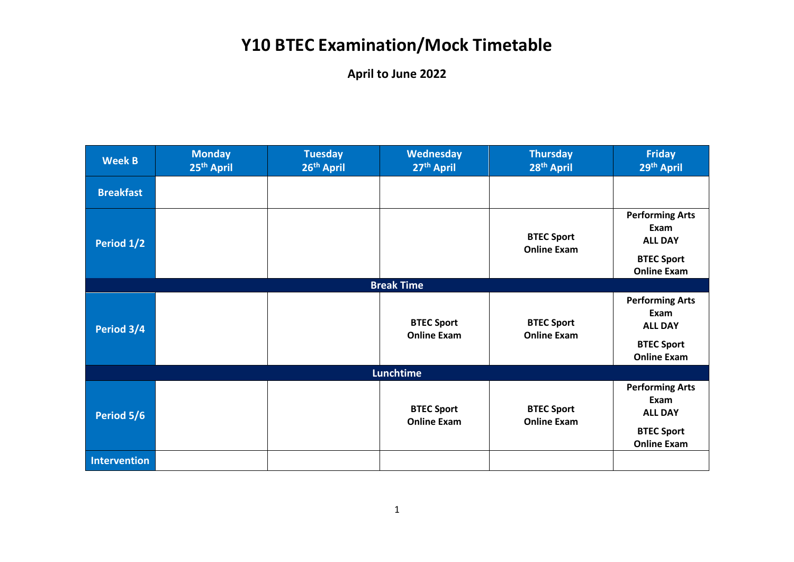| <b>Week B</b>       | <b>Monday</b><br>25 <sup>th</sup> April | <b>Tuesday</b><br>26 <sup>th</sup> April | Wednesday<br>27 <sup>th</sup> April     | <b>Thursday</b><br>28 <sup>th</sup> April | <b>Friday</b><br>29th April                                                                 |
|---------------------|-----------------------------------------|------------------------------------------|-----------------------------------------|-------------------------------------------|---------------------------------------------------------------------------------------------|
| <b>Breakfast</b>    |                                         |                                          |                                         |                                           |                                                                                             |
| Period 1/2          |                                         |                                          |                                         | <b>BTEC Sport</b><br><b>Online Exam</b>   | <b>Performing Arts</b><br>Exam<br><b>ALL DAY</b><br><b>BTEC Sport</b><br><b>Online Exam</b> |
|                     |                                         |                                          | <b>Break Time</b>                       |                                           |                                                                                             |
| Period 3/4          |                                         |                                          | <b>BTEC Sport</b><br><b>Online Exam</b> | <b>BTEC Sport</b><br><b>Online Exam</b>   | <b>Performing Arts</b><br>Exam<br><b>ALL DAY</b><br><b>BTEC Sport</b><br><b>Online Exam</b> |
|                     |                                         |                                          | <b>Lunchtime</b>                        |                                           |                                                                                             |
| Period 5/6          |                                         |                                          | <b>BTEC Sport</b><br><b>Online Exam</b> | <b>BTEC Sport</b><br><b>Online Exam</b>   | <b>Performing Arts</b><br>Exam<br><b>ALL DAY</b><br><b>BTEC Sport</b><br><b>Online Exam</b> |
| <b>Intervention</b> |                                         |                                          |                                         |                                           |                                                                                             |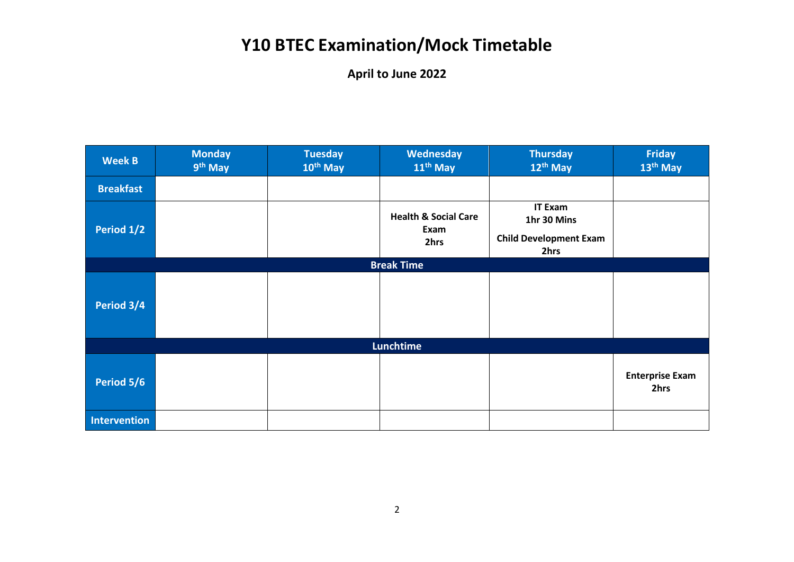| <b>Week B</b>       | <b>Monday</b><br>9 <sup>th</sup> May | <b>Tuesday</b><br>10 <sup>th</sup> May | Wednesday<br>11 <sup>th</sup> May               | <b>Thursday</b><br>12 <sup>th</sup> May                                | Friday<br>13 <sup>th</sup> May |  |  |
|---------------------|--------------------------------------|----------------------------------------|-------------------------------------------------|------------------------------------------------------------------------|--------------------------------|--|--|
| <b>Breakfast</b>    |                                      |                                        |                                                 |                                                                        |                                |  |  |
| Period 1/2          |                                      |                                        | <b>Health &amp; Social Care</b><br>Exam<br>2hrs | <b>IT Exam</b><br>1hr 30 Mins<br><b>Child Development Exam</b><br>2hrs |                                |  |  |
|                     |                                      |                                        | <b>Break Time</b>                               |                                                                        |                                |  |  |
| Period 3/4          |                                      |                                        |                                                 |                                                                        |                                |  |  |
|                     | Lunchtime                            |                                        |                                                 |                                                                        |                                |  |  |
| Period 5/6          |                                      |                                        |                                                 |                                                                        | <b>Enterprise Exam</b><br>2hrs |  |  |
| <b>Intervention</b> |                                      |                                        |                                                 |                                                                        |                                |  |  |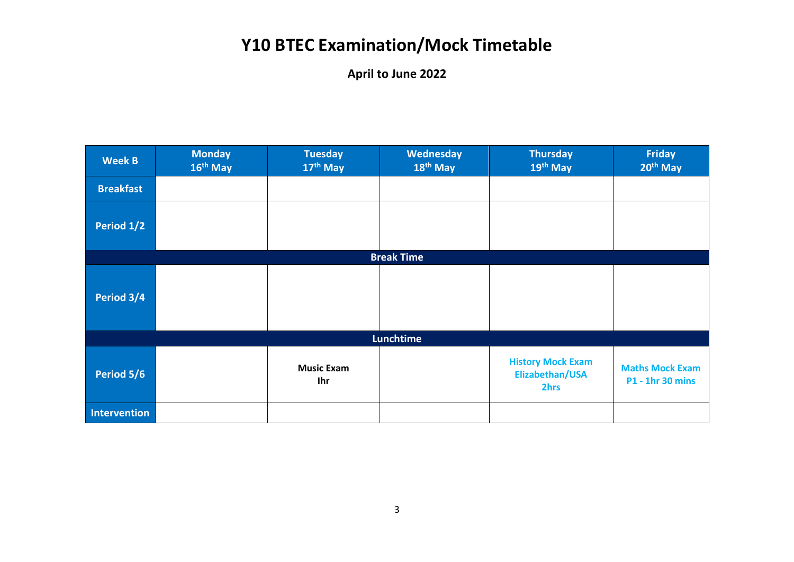| <b>Week B</b>       | <b>Monday</b><br>16 <sup>th</sup> May | <b>Tuesday</b><br>17th May | Wednesday<br>18 <sup>th</sup> May | <b>Thursday</b><br>19th May                         | <b>Friday</b><br>20 <sup>th</sup> May             |
|---------------------|---------------------------------------|----------------------------|-----------------------------------|-----------------------------------------------------|---------------------------------------------------|
| <b>Breakfast</b>    |                                       |                            |                                   |                                                     |                                                   |
| Period 1/2          |                                       |                            |                                   |                                                     |                                                   |
|                     |                                       |                            | <b>Break Time</b>                 |                                                     |                                                   |
| Period 3/4          |                                       |                            |                                   |                                                     |                                                   |
|                     |                                       |                            | Lunchtime                         |                                                     |                                                   |
| Period 5/6          |                                       | <b>Music Exam</b><br>Ihr   |                                   | <b>History Mock Exam</b><br>Elizabethan/USA<br>2hrs | <b>Maths Mock Exam</b><br><b>P1 - 1hr 30 mins</b> |
| <b>Intervention</b> |                                       |                            |                                   |                                                     |                                                   |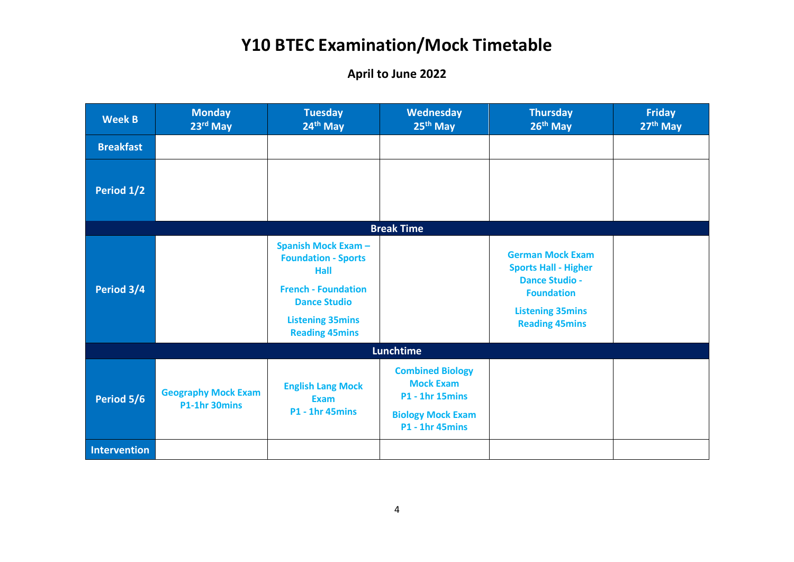| <b>Week B</b>    | <b>Monday</b><br>23rd May                   | <b>Tuesday</b><br>24th May                                                                                                                                                       | <b>Wednesday</b><br>25 <sup>th</sup> May                                                                                    | <b>Thursday</b><br>26th May                                                                                                                              | Friday<br>27th May |
|------------------|---------------------------------------------|----------------------------------------------------------------------------------------------------------------------------------------------------------------------------------|-----------------------------------------------------------------------------------------------------------------------------|----------------------------------------------------------------------------------------------------------------------------------------------------------|--------------------|
| <b>Breakfast</b> |                                             |                                                                                                                                                                                  |                                                                                                                             |                                                                                                                                                          |                    |
| Period 1/2       |                                             |                                                                                                                                                                                  |                                                                                                                             |                                                                                                                                                          |                    |
|                  |                                             |                                                                                                                                                                                  | <b>Break Time</b>                                                                                                           |                                                                                                                                                          |                    |
| Period 3/4       |                                             | <b>Spanish Mock Exam -</b><br><b>Foundation - Sports</b><br><b>Hall</b><br><b>French - Foundation</b><br><b>Dance Studio</b><br><b>Listening 35mins</b><br><b>Reading 45mins</b> |                                                                                                                             | <b>German Mock Exam</b><br><b>Sports Hall - Higher</b><br><b>Dance Studio -</b><br><b>Foundation</b><br><b>Listening 35mins</b><br><b>Reading 45mins</b> |                    |
|                  |                                             |                                                                                                                                                                                  | <b>Lunchtime</b>                                                                                                            |                                                                                                                                                          |                    |
| Period 5/6       | <b>Geography Mock Exam</b><br>P1-1hr 30mins | <b>English Lang Mock</b><br><b>Exam</b><br><b>P1 - 1hr 45mins</b>                                                                                                                | <b>Combined Biology</b><br><b>Mock Exam</b><br><b>P1 - 1hr 15mins</b><br><b>Biology Mock Exam</b><br><b>P1 - 1hr 45mins</b> |                                                                                                                                                          |                    |
| Intervention     |                                             |                                                                                                                                                                                  |                                                                                                                             |                                                                                                                                                          |                    |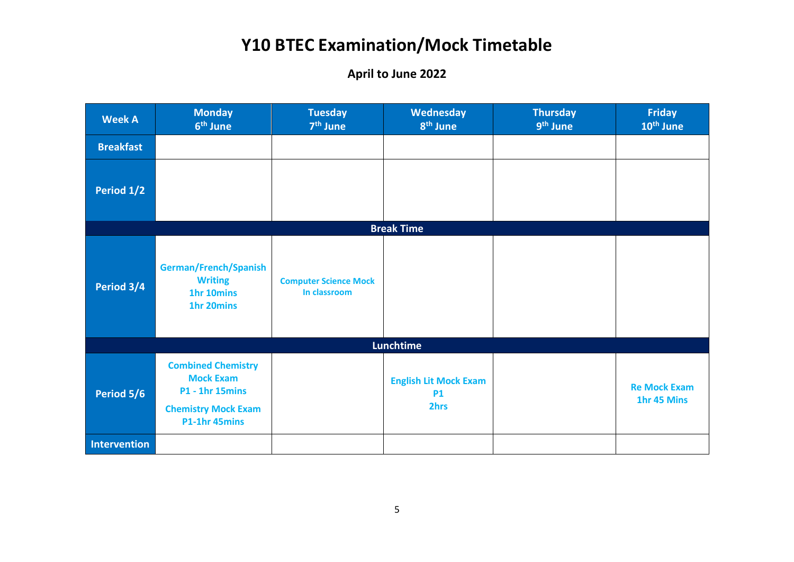| <b>Week A</b>       | <b>Monday</b><br>6 <sup>th</sup> June                                                                                  | <b>Tuesday</b><br>7 <sup>th</sup> June       | Wednesday<br>8 <sup>th</sup> June                 | <b>Thursday</b><br>9 <sup>th</sup> June | <b>Friday</b><br>10 <sup>th</sup> June |
|---------------------|------------------------------------------------------------------------------------------------------------------------|----------------------------------------------|---------------------------------------------------|-----------------------------------------|----------------------------------------|
| <b>Breakfast</b>    |                                                                                                                        |                                              |                                                   |                                         |                                        |
| Period 1/2          |                                                                                                                        |                                              |                                                   |                                         |                                        |
|                     |                                                                                                                        |                                              | <b>Break Time</b>                                 |                                         |                                        |
| Period 3/4          | German/French/Spanish<br><b>Writing</b><br>1hr 10mins<br>1hr 20mins                                                    | <b>Computer Science Mock</b><br>In classroom |                                                   |                                         |                                        |
|                     |                                                                                                                        |                                              | Lunchtime                                         |                                         |                                        |
| Period 5/6          | <b>Combined Chemistry</b><br><b>Mock Exam</b><br><b>P1 - 1hr 15mins</b><br><b>Chemistry Mock Exam</b><br>P1-1hr 45mins |                                              | <b>English Lit Mock Exam</b><br><b>P1</b><br>2hrs |                                         | <b>Re Mock Exam</b><br>1hr 45 Mins     |
| <b>Intervention</b> |                                                                                                                        |                                              |                                                   |                                         |                                        |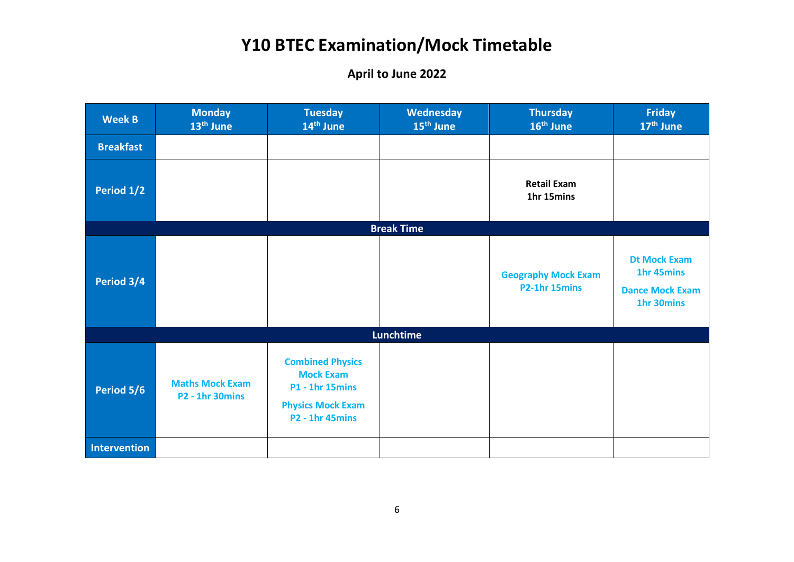| <b>Week B</b>    | <b>Monday</b><br>13 <sup>th</sup> June           | <b>Tuesday</b><br>14 <sup>th</sup> June                                                                                     | <b>Wednesday</b><br>15 <sup>th</sup> June | <b>Thursday</b><br>16 <sup>th</sup> June    | <b>Friday</b><br>17 <sup>th</sup> June                                    |
|------------------|--------------------------------------------------|-----------------------------------------------------------------------------------------------------------------------------|-------------------------------------------|---------------------------------------------|---------------------------------------------------------------------------|
| <b>Breakfast</b> |                                                  |                                                                                                                             |                                           |                                             |                                                                           |
| Period 1/2       |                                                  |                                                                                                                             |                                           | <b>Retail Exam</b><br>1hr 15mins            |                                                                           |
|                  |                                                  |                                                                                                                             | <b>Break Time</b>                         |                                             |                                                                           |
| Period 3/4       |                                                  |                                                                                                                             |                                           | <b>Geography Mock Exam</b><br>P2-1hr 15mins | <b>Dt Mock Exam</b><br>1hr 45mins<br><b>Dance Mock Exam</b><br>1hr 30mins |
|                  |                                                  |                                                                                                                             | <b>Lunchtime</b>                          |                                             |                                                                           |
| Period 5/6       | <b>Maths Mock Exam</b><br><b>P2 - 1hr 30mins</b> | <b>Combined Physics</b><br><b>Mock Exam</b><br><b>P1 - 1hr 15mins</b><br><b>Physics Mock Exam</b><br><b>P2 - 1hr 45mins</b> |                                           |                                             |                                                                           |
| Intervention     |                                                  |                                                                                                                             |                                           |                                             |                                                                           |